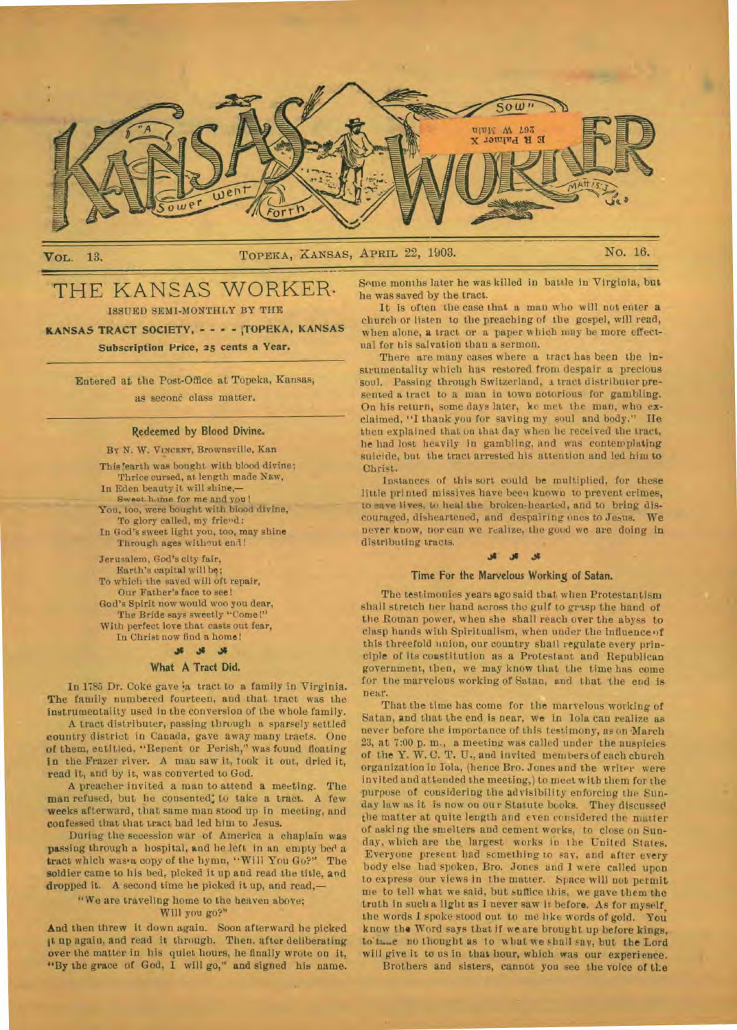

VoL. 13. TOPEKA, XANSAS, APRIL 22, 1903. No. 16.

# THE KANSAS WORKER. ISSUED SEMI-MONTHLY BY THE

**KANSAS TRACT SOCIETY, - - - - TOPEKA, KANSAS Subscription Price, 25 cents a Year.** 

> **Entered** at the Post-Office at Topeka, Kansas, **as** seconc class matter.

#### **Redeemed by Blood Divine.**

BY N. W. VINCENT, Brownsville, Kan

This 'earth was bought with blood divine; Thrice cursed, at length made Naw, In Eden beauty it will shine,— **Sweat home** for me and you! You, too, were bought with blood divine, To glory called, my friend: In God's sweet light you, too, may shine Through ages without end!

Jerusalem, God's city fair, Earth's capital will be; To which the saved will oft repair, Our Father's face to see! God's Spirit now would woo you dear, The Bride says sweetly "Come!" With perfect love that casts out fear, In Christ now find a home!

### **What A Tract Did.**

In 1785 Dr. Coke gave in tract to a family in Virginia. The family numbered fourteen, and that tract was the instrumentality used in the conversion of the whole family.

A tract distributer, passing through a sparsely settled country district in Canada, gave away many tracts. One of them, entitled. "Repent or Perish," was found floating **In** the Frazer river. A man saw it, took It out, dried it, read it, and by it, was converted to God.

A preacher invited a man to attend a meeting. The man refused, but he consented; to take a tract. A few weeks afterward, that same man stood up In meeting, and confessed that that tract had led him to Jesus.

During the secession war of America a chaplain was passing through a hospital, and he left in an empty bed a tract which was'a copy of the hymn, "Will You Go?" The soldier came to his bed, picked it up and read the title, and dropped it. A second time he picked it up, and read,—

"We are traveling home to the heaven above;

#### Will you go?"

And then threw it down again. Soon afterward he picked it up again, and read it through. Then. after deliberating over the matter in his quiet hours, he finally wrote on it, "By the grace of God, I will go," and signed his name. Some months later he was killed in battle in Virginia, but he was saved by the tract.

It is often the case that a man who will not enter **a**  church or listen to the preaching of the gospel, will read, when alone, **a** tract or a paper which may be more effectual for his salvation than a sermon.

There are many cases where a tract has been the instrumentality which has restored from despair a precious soul. Passing through Switzerland, a tract distributer presented a tract to a man in town notorious for gambling. On his return, some days later, ke met the man, who exclaimed, "I thank you for saving my soul and body." He then explained that on that day when lie received the tract, he had lost heavily in gambling, and was contemplating suicide, but the tract arrested his attention and led him to Christ.

Instances of this sort could be multiplied, for these little printed missives have been known to prevent crimes, to save lives, to heal the broken-hearted, and to bring discouraged, disheartened, and despairing ones to Jesus. **We**  never know, nor can we realize, the good we are doing in distributing tracts.

## **J3 JI J3**

### Time **For the** Marvelous Working of Satan.

The testimonies years ago said that when Protestantism shall stretch her hand across the gulf to grasp the hand of the Roman power, when she shall reach over the abyss to clasp hands with Spiritualism, when under the influence of this threefold union, our country shall regulate every principle of its constitution as a Protestant and Republican government, then, we may know that the time has come for the marvelous working of Satan, and that the end is near.

That the time has come for the marvelous working of Satan, and that the end is near, we in Iola can realize as never before the importance of this testimony, as on 'March 23, at 7:00 p. m., a meeting was called under the auspicies of the Y. W. C. T. U., and invited members of each church organization in Iola, (hence Bro. Jones and the writer were invited and attended the meeting,) to meet with them for the purpose of considering the advisibility enforcing the Sunday law as it is now on our Statute books. They discussed the matter at quite length and even considered the matter of asking the smelters and cement works, to close on Sunday, which are the largest works in the United States. Everyone present had scmetbing to say, and after every body else bad spoken, Bro. Jones and 1 were called upon to express our views in the matter. Space will not permit me to tell what we said, but suffice this, we gave them the truth in such a light as I never saw it before. As for myself, the words I spoke stood out to me like words of gold. You know the Word says that if we are brought up before kings, to'tn...e no thought as to what we shall say, but **the** Lord will give it to us in that hour, which was our experience.

Brothers and sisters, cannot you see the voice of **the**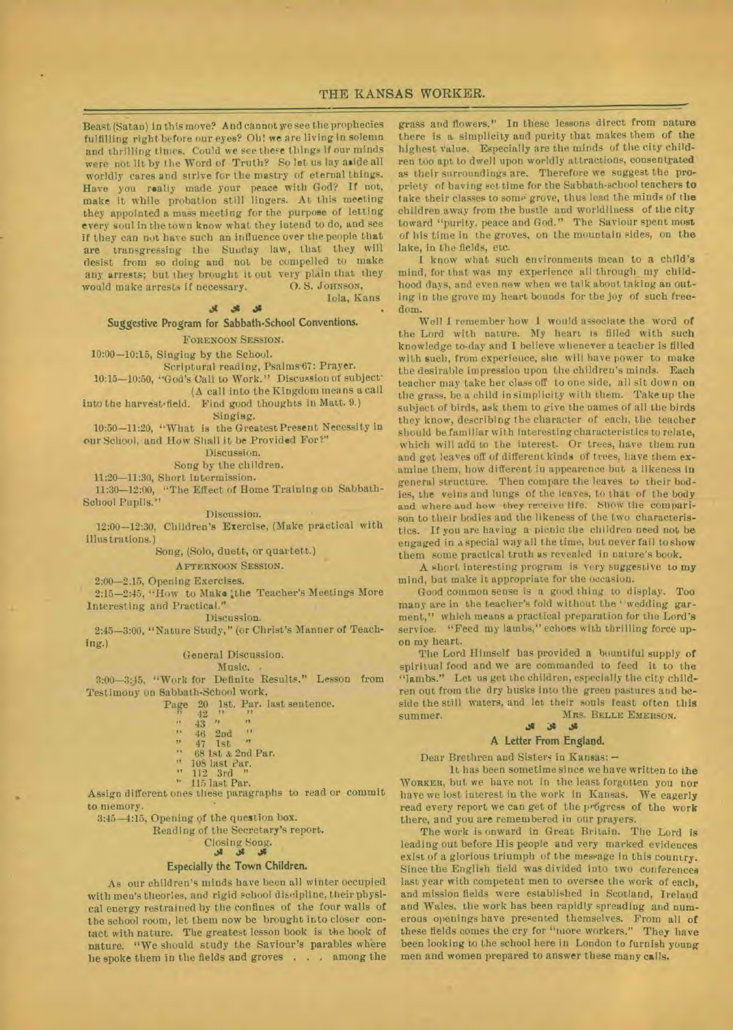Iola, Fans

Beast (Satan) in this move? And cannot we see the prophecies fulfilling right before our eyes? Oh! **we** are living in solemn and thrilling times. Could we *see* these things if our minds were not lit by the Word of Truth? So let us lay aside all worldly cares and strive for the mastry of eternal things. Have you really made your peace with God? If not, make it while probation still lingers. At this meeting they appointed a mass meeting for the purpose of letting every soul in the town know what they intend to do, and see if they can not have such an influence over the people that **are** transgressing the Sunday **law,** that they will desist from so doing and not be compelled to make any arrests; but they brought it out very plain that they would make arrests if necessary. O.S. JOHNSON, would make arrests if necessary.

 $\mathcal{S}$   $\mathcal{S}$   $\mathcal{S}$ 

**Suggestive Program for Sabbath-School** Conventions.

## FORENOON SESSION.

10:00-10:15, Singing by the School.

Scriptural reading, Psalms 07: Prayer.

10:15-10:50, "God's Call to Work." Discussion of subject•

(A call into the Kingdom means a call into the harvest•field. Find good thoughts in Matt. 9.)

Singisg.

10:50-11:20, "What is the Greatest Present Necessity in our School, and How Shall it be Provided For?"

Discussion.

- Song by the children.

11:20-11:30, Short iutermission.

11:30-12:00, "The Effect of Home Training on Sabbath-School Pupils."

Discussion. 12:00-12:30, Children's Exercise, (Make practical with

### illustrations.)

## Song, (Solo, duett, or quartett.)

AFTERNOON SESSION.

2;00-2.15, Opening Exercises.

2:15-2:45, "How to Make :the Teacher's Meetings More Interesting and Practical."

Discussion.

2:45-3:00, "Nature Study," (or Christ's Manner of Teaching.)

#### General Discussion. Music.

3:00-3:45, "Work for Definite Results." Lesson from Testimony on Sabbath-School work,

Page  $20$  1st. Par. last sentence.

- 
- $\begin{array}{c} 42 \\ 43 \end{array}$  "  $\begin{array}{ccc} n & 43 & n & n \\ n & 46 & 2nd & \end{array}$ <br>  $\begin{array}{ccc} n & n \\ n & 47 & 15b & \end{array}$
- 
- 47 1st " 88 1st .2nd Par.  $\overline{14}$
- $13.1$ 108 last ear.
- 112 3rd **11**
- $\mathbf{v}_\mathrm{F}$  . 115 last Par.

Assign different ones these paragraphs to read or commit to memory.

3:45-4:15, Opening of the question box.

Reading of the Secretary's report.

#### Closing Song.  $36$   $36$   $36$

# **Especially the Town Children.**

As our children's minds have been all winter occupied with men's theories, and rigid school discipline, their physical energy restrained by the confines of the four walls of the school room, let them now be brought into closer contact with nature. The greatest lesson book is the book of nature. "We should study the Saviour's parables where he spoke them in the fields and groves . . . among the

grass and flowers." In these lessons direct from nature there is a simplicity and purity that makes them of the highest value. Especially are the minds of the city children too apt to dwell upon worldly attractions, consentrated as their surroundings are. Therefore we suggest the **propriety** of having set time for the Sabbath-school teachers **to**  take their classes to some grove, thus lead the minds of **the**  children away from the bustle and worldliness of the city toward "purity, peace and God." The Saviour spent must of his time in the groves, on the mountain sides, on the lake, in the fields, etc.

I know what such environments mean to a child's mind, for that was my experience all through\_ my childhood days, and even now when we talk about taking an out**ing** in the grove my heart bounds for the joy of such freedom.

Well I remember how I would associate the word of the Lord with nature. My heart is filled with such knowledge to-day and I believe whenever a teacher is filled with such, from experience, she will have power to make the desirable impression upon the children's minds. Each teacher may take her class off to one side, all sit down on the grass, be a child in simplicity with them. Take up the subject of birds, ask them to *give* the names of all the birds they know, describing the character of each, the teacher should be familiar with interesting characteristics to relate, which will add to the interest. Or trees, have them run and get leaves off of different kinds of trees, have them examine them, how different in appearence but a likeness in general structure. Then compare the leaves to their bodies, the veins and lungs of the leaves, to that of the body and where and how they receive life. Show the comparison to their bodies and the likeness of the two characteristics. If you are having a picnic the children need not be engaged in a special way all the time, but never fail to show them some practical truth as revealed in nature's book.

A short interesting program is very suggestive to **my**  mind, but make it appropriate for the occasion.

Good common sense is a good thing to display. Too many are in the teacher's fold without the "wedding garment," which means a practical preparation for the Lord's service. "Feed my lambs," echoes with thrilling force upon my heart.

The Lord Himself has provided a bountiful supply of spiritual food and we are commanded to feed it to the "lambs." Let us get the children, especially the city children out from the dry husks into the green pastures and beside the still waters, and let their souls feast often this summer. Mrs. BELLE EMERSON.

#### a **Ji**

#### **A Letter From England.**

Dear Brethren and Sisters in Kansas: —

**1** t has been sometime since we have written to **the**  WORKER, but we have not in the least forgotten you nor have we lost interest in the work in Kansas. We eagerly read every report we can get of the progress of the work there, and you are remembered in our prayers.

The work is onward in Great Britain. The Lord is leading out before His people and very marked evidences exist of a glorious triumph of the message in this country. Since the English field was divided into two conferences last year with competent men to oversee the work of each, and mission fields were established in Scotland, Ireland and Wales, the work has been rapidly spreading and numerous openings have presented themselves. From all of these fields comes the cry for "more workers." They have been looking to the school here in London to furnish young men and women prepared to answer these many calls.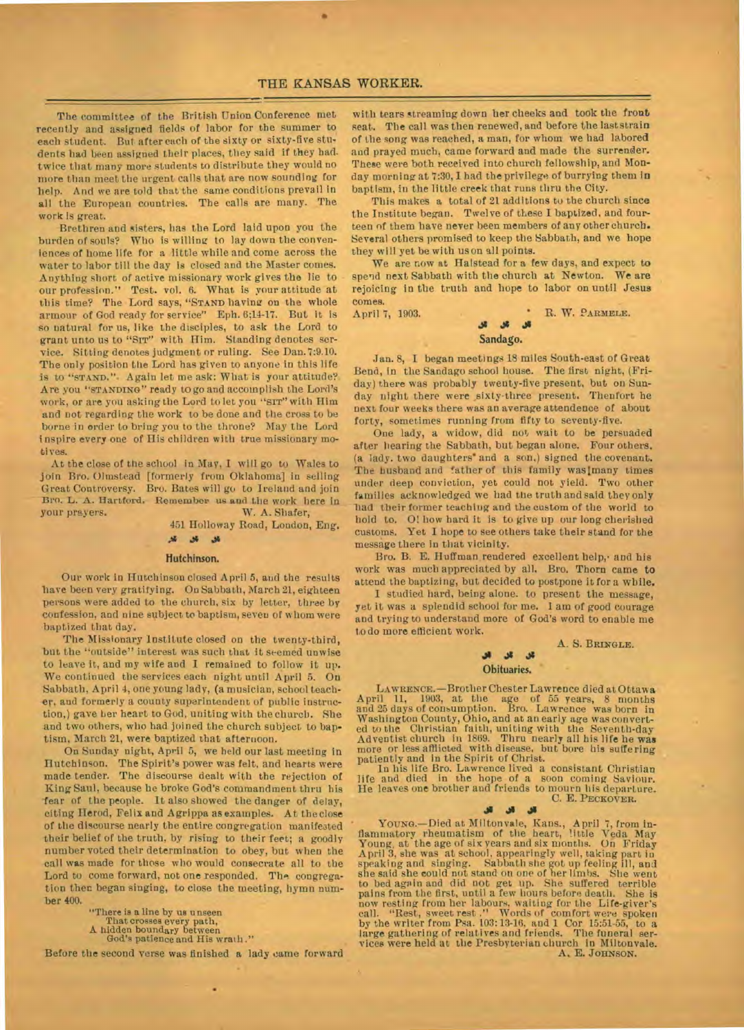The committee of the British Union Conference met recently and assigned fields of labor for the summer to each student. But after each of the sixty or sixty-five students had been assigned their places, they said if they had. twice that many more students to distribute they would no more than meet the urgent calls that are now sounding for help. And we are told that the same conditions prevail in all the European countries. The calls are many. The work Is great.

Brethren and sisters, has the Lord laid upon you the burden of souls? Who is willing to lay down the conveniences of home life for a little while and come across the water to labor till the day is closed and the Master comes. Anything short of active missionary work gives the lie to our profession." Test. vol. 6. What is your attitude at this time? The Lord says, **"STAND** having on the whole armour of God ready for service" Eph. 6;14-17. But it is so natural for us, like the disciples, to ask the Lord to grant unto us to "SIT" with Him. Standing denotes service. Sitting denotes judgment or ruling. See Dan.7:9.10. The only position the Lord has given to anyone in this life is to **"STAND.".** Again let me ask: What is your attitude? Are you **"STANDING"** ready to go and accomplish the Lord's work, or are you asking the Lord to let you "SIT" with Him and not regarding the work to be done and the cross to be borne in order to bring you to the throne? May the Lord inspire every one of His children with true missionary motives.

At the close of the school in May, I will go to Wales to join Bro. Olmstead [formerly from Oklahoma] in selling Great Controversy. Bro. Bates will go to Ireland and join Bro. L. A. Hartford. Remember us and the work here in your prayers. W. A. Shafer, W. A. Shafer,

451 Holloway Road, London, Eng.

# **.11**

#### Hutchinson.

Our work in Hutchinson closed April 5, and the results have been very gratifying. On Sabbath, March 21, eighteen persons were added to the church, six by letter, three by confession, and nine subject to baptism, seven of whom were baptized that day.

The Missionary Institute closed on the twenty-third, but the "outside" interest was such that it seemed unwise to leave it, and my wife and I remained to follow it up. We continued the services each night until April 5. On Sabbath, April 4, one young lady, (a musician, school teacher, and formerly a county superintendent of public instruction,) gave her heart to God, uniting with the church. She and two others, who had joined the church subject to baptism, March 21, were baptized that afternoon.

On Sunday night, April 5, we held our last meeting in Hutchinson. The Spirit's power was felt, and hearts were made tender. The discourse dealt with the rejection of King Saul, because be broke God's commandment thru his Year of the people. It also showed the danger of delay, citing Herod, Felix and Agrippa as examples. At theclose of the discourse nearly the entire congregation manifested their belief of the truth, by rising to their feet; a goodly number voted their determination to obey, but when the call was made for those who would consecrate all to the Lord to come forward, not one responded. The congregation then began singing, to close the meeting, hymn number 400.

"There is a line by us unseen That crosses every path, A hidden boundary between God's patience and His wrath ."

Before the second verse was finished a lady came forward

•

with tears streaming down her cheeks and took the front seat. The call was then renewed, and before the last strain of the song was reached, a man, for whom we had labored and prayed much, came forward and made the surrender. These were both received into church fellowship, and Monday morning at 7:30, I had the privilege of burrying them in baptism, in the little creek that runs thru the City.

This makes a total of 21 additions to the church since the Institute began. Twelve of these I baptized, and fourteen of them have never been members of any other church. Several others promised to keep the Sabbath, and we hope they will yet be with us on all points.

We are now at Halstead for a few days, and expect to spend next Sabbath with the church at Newton. We are rejoicing in the truth and hope to labor on until Jesus comes.<br>April 7, 1903.

**APRIL 7, 1903. • R. W. PARMELE.** *Ji* **J.** 

#### Sandago.

Jan. 8, I began meetings 18 miles South-east of Great Bend, in the Sandago school house. The first night, (Friday) there was probably twenty-five present, but on Sunday night there were sixty-three present. Thenfort he next four weeks there was an average attendence of about forty, sometimes running from fifty to seventy-five.

One lady, a widow, did not wait to be persuaded after hearing the Sabbath, but began alone. Four others. (a lady. two daughters' and a son,) signed the covenant. The husband and father of this family was/many times under deep conviction, yet could not yield. Two other families acknowledged we bad tue truth and said they only had their former teaching and the custom of the world to hold to. 01 how bard it is to give up our long cherished customs. Yet I hope to see others take their stand for the message there in that vicinity.

Bro. B. E. Huffman, rendered excellent help,• and his work was much appreciated by all. Bro. Thorn came to attend the baptizing, but decided to postpone it fora while.

I studied hard, being alone. to present the message, yet it was a splendid school for me. 1 am of good courage and trying to understand more of God's word to enable me to do more efficient work.

A. S. BRINGLE.

## **.01** باد Obituaries.

LAWRENCE.—Brother Chester Lawrence died at Ottawa<br>April 11, 1903, at the age of 55 years, 8 months<br>and 25 days of consumption. Bro. Lawrence was born in<br>Washington County, Ohio, and at an early age was convert-<br>ed to the C Adventist church in 1869. Thru nearly all his life he was more or less afflicted with disease, but bore his suffering patiently and in the Spirit of Christ.

In his life Bro. Lawrence lived a consistant Christian life and died in the hope of a soon coming Saviour.<br>He leaves one brother and friends to mourn his departure. C. E. **PECKOVER.** 

**di J• .13** 

Young.—Died at Miltonvale, Kans., April 7, from in-<br>flammatory rheumatism of the heart, little Veda May<br>Young, at the age of six years and six months. On Friday April 3, she was at school, appearingly well, taking part in speaking and singing. Sabbath she got up feeling ill, and she said she could not stand on one of her limbs. She went to bed again and did not get up. She suffere now resting from her labours, waiting for the Life-giver's<br>call. "Rest, sweet rest," Words of comfort were spoken<br>by the writer from Psa. 103:13-16, and 1 Cor 15:51-55, to a<br>large gathering of relatives and friends. The fu vices were held at the Presbyterian church in Miltonvale. A, E. JOHNSON.